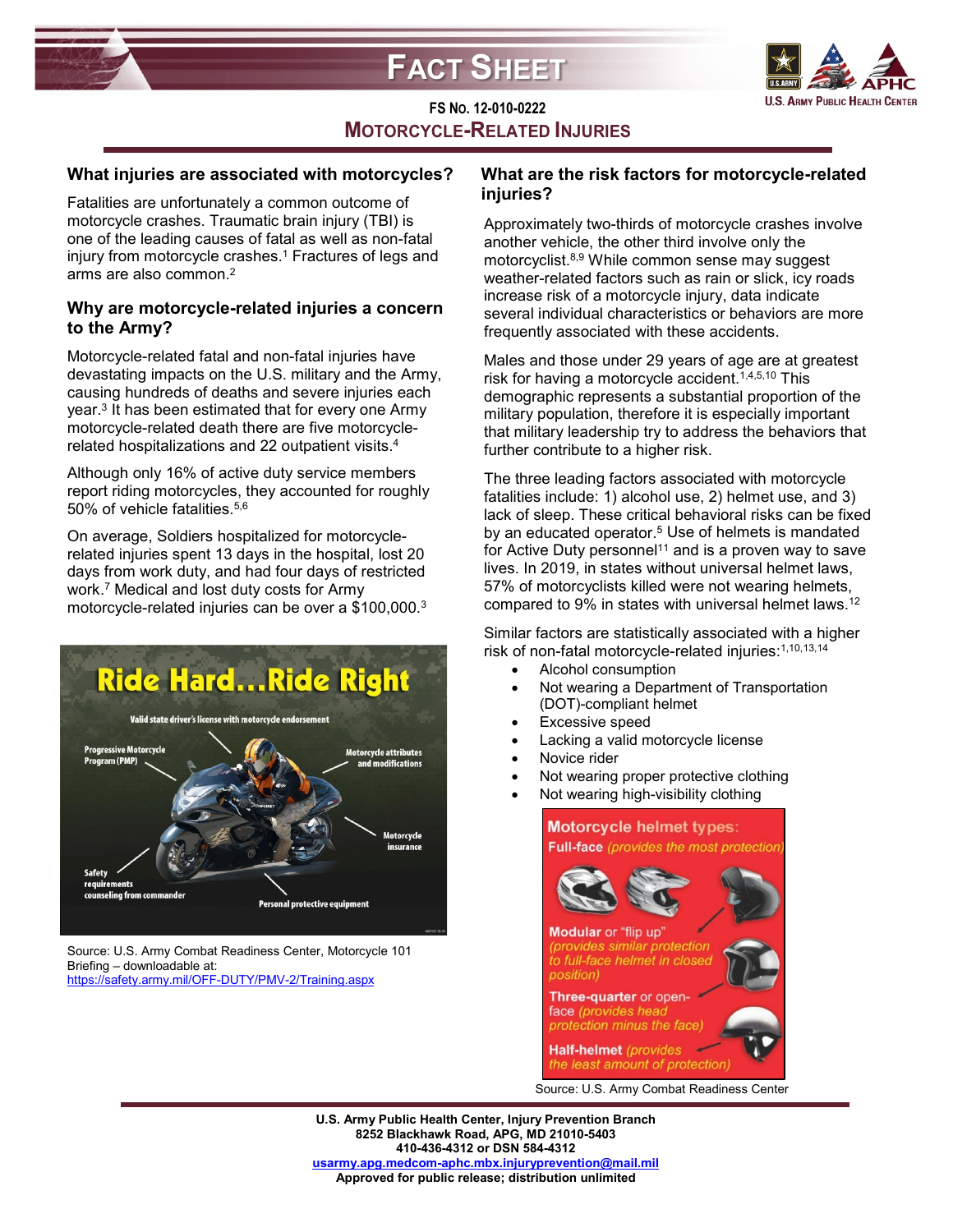



# **FS NO. 12-010-0222 MOTORCYCLE-RELATED INJURIES**

### **What injuries are associated with motorcycles?**

Fatalities are unfortunately a common outcome of motorcycle crashes. Traumatic brain injury (TBI) is one of the leading causes of fatal as well as non-fatal injury from motorcycle crashes.<sup>1</sup> Fractures of legs and arms are also common.2

### **Why are motorcycle-related injuries a concern to the Army?**

Motorcycle-related fatal and non-fatal injuries have devastating impacts on the U.S. military and the Army, causing hundreds of deaths and severe injuries each year.3 It has been estimated that for every one Army motorcycle-related death there are five motorcyclerelated hospitalizations and 22 outpatient visits.4

Although only 16% of active duty service members report riding motorcycles, they accounted for roughly 50% of vehicle fatalities.5,6

On average, Soldiers hospitalized for motorcyclerelated injuries spent 13 days in the hospital, lost 20 days from work duty, and had four days of restricted work.7 Medical and lost duty costs for Army motorcycle-related injuries can be over a \$100,000.3



Source: U.S. Army Combat Readiness Center, Motorcycle 101 Briefing – downloadable at: <https://safety.army.mil/OFF-DUTY/PMV-2/Training.aspx>

### **What are the risk factors for motorcycle-related injuries?**

Approximately two-thirds of motorcycle crashes involve another vehicle, the other third involve only the motorcyclist.8,9 While common sense may suggest weather-related factors such as rain or slick, icy roads increase risk of a motorcycle injury, data indicate several individual characteristics or behaviors are more frequently associated with these accidents.

Males and those under 29 years of age are at greatest risk for having a motorcycle accident.<sup>1,4,5,10</sup> This demographic represents a substantial proportion of the military population, therefore it is especially important that military leadership try to address the behaviors that further contribute to a higher risk.

The three leading factors associated with motorcycle fatalities include: 1) alcohol use, 2) helmet use, and 3) lack of sleep. These critical behavioral risks can be fixed by an educated operator. <sup>5</sup> Use of helmets is mandated for Active Duty personnel<sup>11</sup> and is a proven way to save lives. In 2019, in states without universal helmet laws, 57% of motorcyclists killed were not wearing helmets, compared to 9% in states with universal helmet laws. 12

Similar factors are statistically associated with a higher risk of non-fatal motorcycle-related injuries: 1,10,13,14

- Alcohol consumption
- Not wearing a Department of Transportation (DOT)-compliant helmet
- Excessive speed
- Lacking a valid motorcycle license
- Novice rider
- Not wearing proper protective clothing
- Not wearing high-visibility clothing



**U.S. Army Public Health Center, Injury Prevention Branch 8252 Blackhawk Road, APG, MD 21010-5403 410-436-4312 or DSN 584-4312 [usarmy.apg.medcom-aphc.mbx.injuryprevention@mail.mil](mailto:usarmy.apg.medcom-aphc.mbx.injuryprevention@mail.mil) Approved for public release; distribution unlimited**